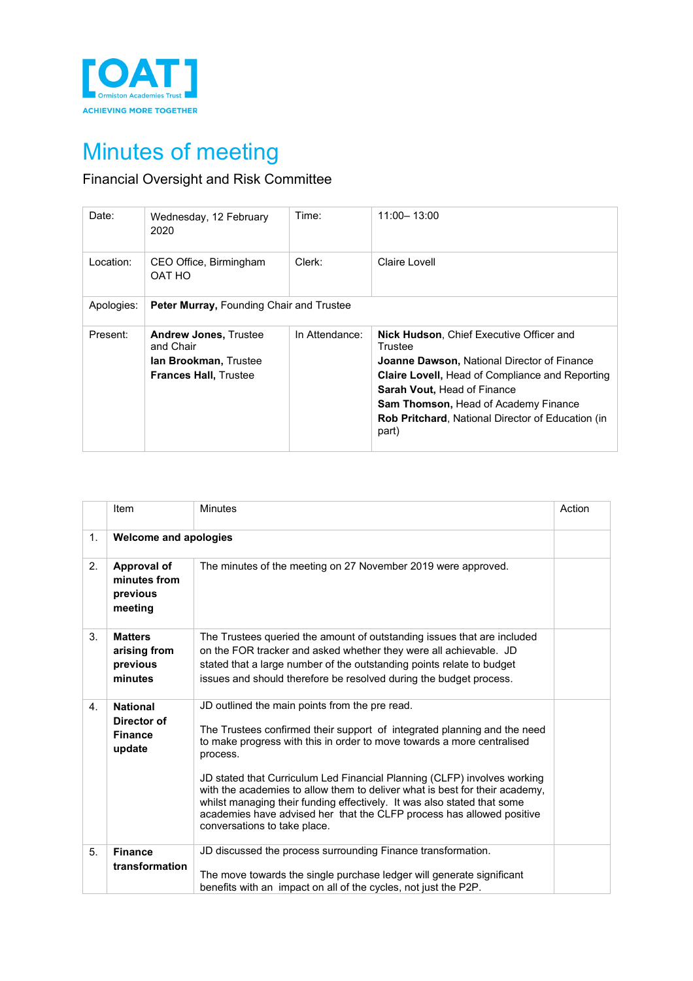

## Minutes of meeting

## Financial Oversight and Risk Committee

| Date:      | Wednesday, 12 February<br>2020                                                                            | Time:          | 11:00 - 13:00                                                                                                                                                                                                                                                                                                                 |
|------------|-----------------------------------------------------------------------------------------------------------|----------------|-------------------------------------------------------------------------------------------------------------------------------------------------------------------------------------------------------------------------------------------------------------------------------------------------------------------------------|
| Location:  | CEO Office, Birmingham<br>OAT HO                                                                          | Clerk:         | Claire Lovell                                                                                                                                                                                                                                                                                                                 |
| Apologies: | Peter Murray, Founding Chair and Trustee                                                                  |                |                                                                                                                                                                                                                                                                                                                               |
| Present:   | <b>Andrew Jones, Trustee</b><br>and Chair<br><b>lan Brookman, Trustee</b><br><b>Frances Hall, Trustee</b> | In Attendance: | <b>Nick Hudson, Chief Executive Officer and</b><br>Trustee<br><b>Joanne Dawson, National Director of Finance</b><br><b>Claire Lovell, Head of Compliance and Reporting</b><br><b>Sarah Vout, Head of Finance</b><br><b>Sam Thomson, Head of Academy Finance</b><br>Rob Pritchard, National Director of Education (in<br>part) |

|    | Item                                                       | <b>Minutes</b>                                                                                                                                                                                                                                                                                                                                                                                                                                                                                                                                                  | Action |
|----|------------------------------------------------------------|-----------------------------------------------------------------------------------------------------------------------------------------------------------------------------------------------------------------------------------------------------------------------------------------------------------------------------------------------------------------------------------------------------------------------------------------------------------------------------------------------------------------------------------------------------------------|--------|
| 1. | <b>Welcome and apologies</b>                               |                                                                                                                                                                                                                                                                                                                                                                                                                                                                                                                                                                 |        |
| 2. | Approval of<br>minutes from<br>previous<br>meeting         | The minutes of the meeting on 27 November 2019 were approved.                                                                                                                                                                                                                                                                                                                                                                                                                                                                                                   |        |
| 3. | <b>Matters</b><br>arising from<br>previous<br>minutes      | The Trustees queried the amount of outstanding issues that are included<br>on the FOR tracker and asked whether they were all achievable. JD<br>stated that a large number of the outstanding points relate to budget<br>issues and should therefore be resolved during the budget process.                                                                                                                                                                                                                                                                     |        |
| 4. | <b>National</b><br>Director of<br><b>Finance</b><br>update | JD outlined the main points from the pre read.<br>The Trustees confirmed their support of integrated planning and the need<br>to make progress with this in order to move towards a more centralised<br>process.<br>JD stated that Curriculum Led Financial Planning (CLFP) involves working<br>with the academies to allow them to deliver what is best for their academy,<br>whilst managing their funding effectively. It was also stated that some<br>academies have advised her that the CLFP process has allowed positive<br>conversations to take place. |        |
| 5. | <b>Finance</b><br>transformation                           | JD discussed the process surrounding Finance transformation.<br>The move towards the single purchase ledger will generate significant<br>benefits with an impact on all of the cycles, not just the P2P.                                                                                                                                                                                                                                                                                                                                                        |        |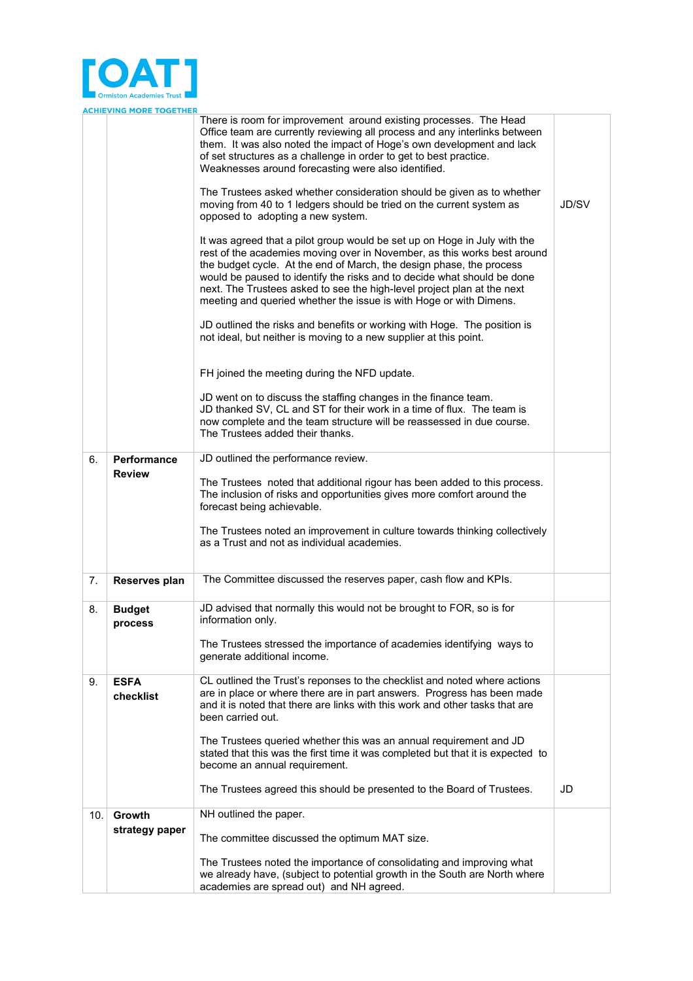

|     | <b>ACHIEVING MORE TOGETHER</b> |                                                                                                                                                                                                                                                                                                                                                                                                                                                           |       |
|-----|--------------------------------|-----------------------------------------------------------------------------------------------------------------------------------------------------------------------------------------------------------------------------------------------------------------------------------------------------------------------------------------------------------------------------------------------------------------------------------------------------------|-------|
|     |                                | There is room for improvement around existing processes. The Head<br>Office team are currently reviewing all process and any interlinks between<br>them. It was also noted the impact of Hoge's own development and lack<br>of set structures as a challenge in order to get to best practice.<br>Weaknesses around forecasting were also identified.                                                                                                     |       |
|     |                                | The Trustees asked whether consideration should be given as to whether<br>moving from 40 to 1 ledgers should be tried on the current system as<br>opposed to adopting a new system.                                                                                                                                                                                                                                                                       | JD/SV |
|     |                                | It was agreed that a pilot group would be set up on Hoge in July with the<br>rest of the academies moving over in November, as this works best around<br>the budget cycle. At the end of March, the design phase, the process<br>would be paused to identify the risks and to decide what should be done<br>next. The Trustees asked to see the high-level project plan at the next<br>meeting and queried whether the issue is with Hoge or with Dimens. |       |
|     |                                | JD outlined the risks and benefits or working with Hoge. The position is<br>not ideal, but neither is moving to a new supplier at this point.                                                                                                                                                                                                                                                                                                             |       |
|     |                                | FH joined the meeting during the NFD update.                                                                                                                                                                                                                                                                                                                                                                                                              |       |
|     |                                | JD went on to discuss the staffing changes in the finance team.<br>JD thanked SV, CL and ST for their work in a time of flux. The team is<br>now complete and the team structure will be reassessed in due course.<br>The Trustees added their thanks.                                                                                                                                                                                                    |       |
| 6.  | <b>Performance</b>             | JD outlined the performance review.                                                                                                                                                                                                                                                                                                                                                                                                                       |       |
|     | <b>Review</b>                  | The Trustees noted that additional rigour has been added to this process.<br>The inclusion of risks and opportunities gives more comfort around the<br>forecast being achievable.                                                                                                                                                                                                                                                                         |       |
|     |                                | The Trustees noted an improvement in culture towards thinking collectively<br>as a Trust and not as individual academies.                                                                                                                                                                                                                                                                                                                                 |       |
| 7.  | Reserves plan                  | The Committee discussed the reserves paper, cash flow and KPIs.                                                                                                                                                                                                                                                                                                                                                                                           |       |
| 8.  | <b>Budget</b><br>process       | JD advised that normally this would not be brought to FOR, so is for<br>information only.                                                                                                                                                                                                                                                                                                                                                                 |       |
|     |                                | The Trustees stressed the importance of academies identifying ways to<br>generate additional income.                                                                                                                                                                                                                                                                                                                                                      |       |
| 9.  | <b>ESFA</b><br>checklist       | CL outlined the Trust's reponses to the checklist and noted where actions<br>are in place or where there are in part answers. Progress has been made<br>and it is noted that there are links with this work and other tasks that are<br>been carried out.                                                                                                                                                                                                 |       |
|     |                                | The Trustees queried whether this was an annual requirement and JD<br>stated that this was the first time it was completed but that it is expected to<br>become an annual requirement.                                                                                                                                                                                                                                                                    |       |
|     |                                | The Trustees agreed this should be presented to the Board of Trustees.                                                                                                                                                                                                                                                                                                                                                                                    | JD    |
| 10. | Growth<br>strategy paper       | NH outlined the paper.                                                                                                                                                                                                                                                                                                                                                                                                                                    |       |
|     |                                | The committee discussed the optimum MAT size.                                                                                                                                                                                                                                                                                                                                                                                                             |       |
|     |                                | The Trustees noted the importance of consolidating and improving what<br>we already have, (subject to potential growth in the South are North where<br>academies are spread out) and NH agreed.                                                                                                                                                                                                                                                           |       |